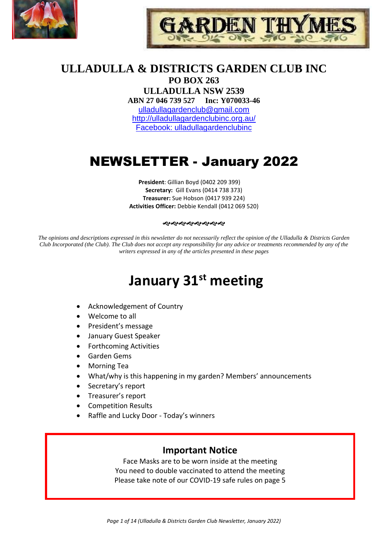



# **ULLADULLA & DISTRICTS GARDEN CLUB INC**

**PO BOX 263 ULLADULLA NSW 2539 ABN 27 046 739 527 Inc: Y070033-46**  [ulladullagardenclub@gmail.com](mailto:ulladullagardenclub@gmail.com) <http://ulladullagardenclubinc.org.au/> Facebook: ulladullagardenclubinc

# NEWSLETTER - January 2022

**President**: Gillian Boyd (0402 209 399) **Secretary:** Gill Evans (0414 738 373) **Treasurer:** Sue Hobson (0417 939 224) **Activities Officer:** Debbie Kendall (0412 069 520)

#### 

*The opinions and descriptions expressed in this newsletter do not necessarily reflect the opinion of the Ulladulla & Districts Garden Club Incorporated (the Club). The Club does not accept any responsibility for any advice or treatments recommended by any of the writers expressed in any of the articles presented in these pages*

# **January 31st meeting**

- Acknowledgement of Country
- Welcome to all
- President's message
- January Guest Speaker
- Forthcoming Activities
- Garden Gems
- Morning Tea
- What/why is this happening in my garden? Members' announcements
- Secretary's report
- Treasurer's report
- Competition Results
- Raffle and Lucky Door Today's winners

# **Important Notice**

Face Masks are to be worn inside at the meeting You need to double vaccinated to attend the meeting Please take note of our COVID-19 safe rules on page 5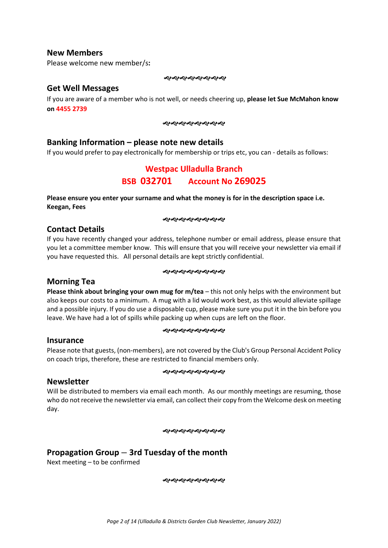#### **New Members**

Please welcome new member/s**:**

#### 

#### **Get Well Messages**

If you are aware of a member who is not well, or needs cheering up, **please let Sue McMahon know on 4455 2739**

#### やややややややや

#### **Banking Information – please note new details**

If you would prefer to pay electronically for membership or trips etc, you can - details as follows:

# **Westpac Ulladulla Branch BSB 032701 Account No 269025**

**Please ensure you enter your surname and what the money is for in the description space i.e. Keegan, Fees**

#### やややややややや

#### **Contact Details**

If you have recently changed your address, telephone number or email address, please ensure that you let a committee member know. This will ensure that you will receive your newsletter via email if you have requested this. All personal details are kept strictly confidential.

#### **����������**

#### **Morning Tea**

**Please think about bringing your own mug for m/tea** – this not only helps with the environment but also keeps our costs to a minimum. A mug with a lid would work best, as this would alleviate spillage and a possible injury. If you do use a disposable cup, please make sure you put it in the bin before you leave. We have had a lot of spills while packing up when cups are left on the floor.

#### **����������**

#### **Insurance**

Please note that guests, (non-members), are not covered by the Club's Group Personal Accident Policy on coach trips, therefore, these are restricted to financial members only.

#### *સર્વેશ્વેશ્વેશ્વેશ્વેશ્વે*

#### **Newsletter**

Will be distributed to members via email each month. As our monthly meetings are resuming, those who do not receive the newsletter via email, can collect their copy from the Welcome desk on meeting day.

#### **����������**

# **Propagation Group – 3rd Tuesday of the month**

Next meeting – to be confirmed

**ର୍ଦ୍ଧରଶ୍ୟକ୍ରମ୍ବର**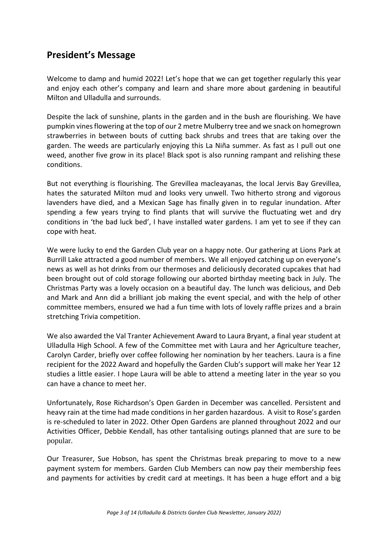# **President's Message**

Welcome to damp and humid 2022! Let's hope that we can get together regularly this year and enjoy each other's company and learn and share more about gardening in beautiful Milton and Ulladulla and surrounds.

Despite the lack of sunshine, plants in the garden and in the bush are flourishing. We have pumpkin vines flowering at the top of our 2 metre Mulberry tree and we snack on homegrown strawberries in between bouts of cutting back shrubs and trees that are taking over the garden. The weeds are particularly enjoying this La Niña summer. As fast as I pull out one weed, another five grow in its place! Black spot is also running rampant and relishing these conditions.

But not everything is flourishing. The Grevillea macleayanas, the local Jervis Bay Grevillea, hates the saturated Milton mud and looks very unwell. Two hitherto strong and vigorous lavenders have died, and a Mexican Sage has finally given in to regular inundation. After spending a few years trying to find plants that will survive the fluctuating wet and dry conditions in 'the bad luck bed', I have installed water gardens. I am yet to see if they can cope with heat.

We were lucky to end the Garden Club year on a happy note. Our gathering at Lions Park at Burrill Lake attracted a good number of members. We all enjoyed catching up on everyone's news as well as hot drinks from our thermoses and deliciously decorated cupcakes that had been brought out of cold storage following our aborted birthday meeting back in July. The Christmas Party was a lovely occasion on a beautiful day. The lunch was delicious, and Deb and Mark and Ann did a brilliant job making the event special, and with the help of other committee members, ensured we had a fun time with lots of lovely raffle prizes and a brain stretching Trivia competition.

We also awarded the Val Tranter Achievement Award to Laura Bryant, a final year student at Ulladulla High School. A few of the Committee met with Laura and her Agriculture teacher, Carolyn Carder, briefly over coffee following her nomination by her teachers. Laura is a fine recipient for the 2022 Award and hopefully the Garden Club's support will make her Year 12 studies a little easier. I hope Laura will be able to attend a meeting later in the year so you can have a chance to meet her.

Unfortunately, Rose Richardson's Open Garden in December was cancelled. Persistent and heavy rain at the time had made conditions in her garden hazardous. A visit to Rose's garden is re-scheduled to later in 2022. Other Open Gardens are planned throughout 2022 and our Activities Officer, Debbie Kendall, has other tantalising outings planned that are sure to be popular.

Our Treasurer, Sue Hobson, has spent the Christmas break preparing to move to a new payment system for members. Garden Club Members can now pay their membership fees and payments for activities by credit card at meetings. It has been a huge effort and a big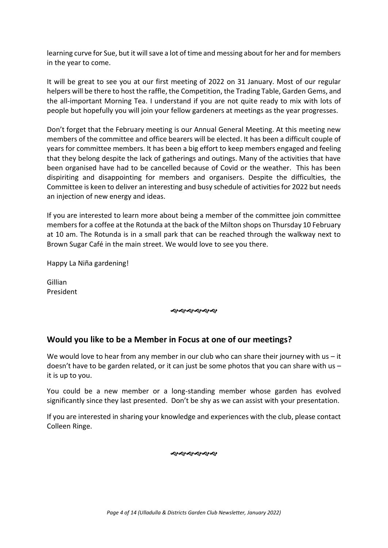learning curve for Sue, but it will save a lot of time and messing about for her and for members in the year to come.

It will be great to see you at our first meeting of 2022 on 31 January. Most of our regular helpers will be there to host the raffle, the Competition, the Trading Table, Garden Gems, and the all-important Morning Tea. I understand if you are not quite ready to mix with lots of people but hopefully you will join your fellow gardeners at meetings as the year progresses.

Don't forget that the February meeting is our Annual General Meeting. At this meeting new members of the committee and office bearers will be elected. It has been a difficult couple of years for committee members. It has been a big effort to keep members engaged and feeling that they belong despite the lack of gatherings and outings. Many of the activities that have been organised have had to be cancelled because of Covid or the weather. This has been dispiriting and disappointing for members and organisers. Despite the difficulties, the Committee is keen to deliver an interesting and busy schedule of activities for 2022 but needs an injection of new energy and ideas.

If you are interested to learn more about being a member of the committee join committee members for a coffee at the Rotunda at the back of the Milton shops on Thursday 10 February at 10 am. The Rotunda is in a small park that can be reached through the walkway next to Brown Sugar Café in the main street. We would love to see you there.

Happy La Niña gardening!

Gillian President

やややややや

#### **Would you like to be a Member in Focus at one of our meetings?**

We would love to hear from any member in our club who can share their journey with us  $-$  it doesn't have to be garden related, or it can just be some photos that you can share with us  $$ it is up to you.

You could be a new member or a long-standing member whose garden has evolved significantly since they last presented. Don't be shy as we can assist with your presentation.

If you are interested in sharing your knowledge and experiences with the club, please contact Colleen Ringe.

おおおおおや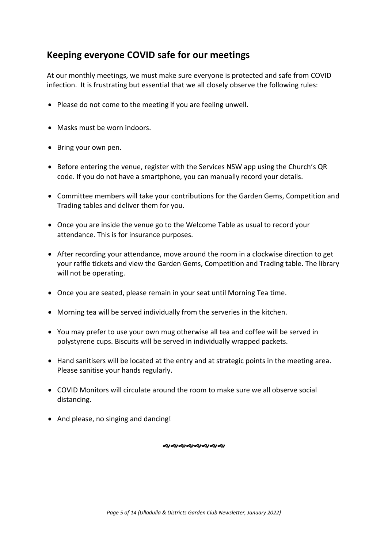# **Keeping everyone COVID safe for our meetings**

At our monthly meetings, we must make sure everyone is protected and safe from COVID infection. It is frustrating but essential that we all closely observe the following rules:

- Please do not come to the meeting if you are feeling unwell.
- Masks must be worn indoors.
- Bring your own pen.
- Before entering the venue, register with the Services NSW app using the Church's QR code. If you do not have a smartphone, you can manually record your details.
- Committee members will take your contributions for the Garden Gems, Competition and Trading tables and deliver them for you.
- Once you are inside the venue go to the Welcome Table as usual to record your attendance. This is for insurance purposes.
- After recording your attendance, move around the room in a clockwise direction to get your raffle tickets and view the Garden Gems, Competition and Trading table. The library will not be operating.
- Once you are seated, please remain in your seat until Morning Tea time.
- Morning tea will be served individually from the serveries in the kitchen.
- You may prefer to use your own mug otherwise all tea and coffee will be served in polystyrene cups. Biscuits will be served in individually wrapped packets.
- Hand sanitisers will be located at the entry and at strategic points in the meeting area. Please sanitise your hands regularly.
- COVID Monitors will circulate around the room to make sure we all observe social distancing.
- And please, no singing and dancing!

*સર્વેશ્વેશ્વેશ્વેશ્વેશ્વે*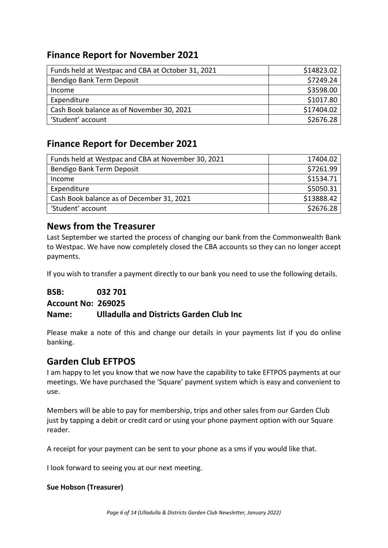# **Finance Report for November 2021**

| Funds held at Westpac and CBA at October 31, 2021 | \$14823.02 |
|---------------------------------------------------|------------|
| Bendigo Bank Term Deposit                         | \$7249.24  |
| Income                                            | \$3598.00  |
| Expenditure                                       | \$1017.80  |
| Cash Book balance as of November 30, 2021         | \$17404.02 |
| 'Student' account                                 | \$2676.28  |
|                                                   |            |

# **Finance Report for December 2021**

| Funds held at Westpac and CBA at November 30, 2021 | 17404.02   |
|----------------------------------------------------|------------|
| Bendigo Bank Term Deposit                          | \$7261.99  |
| Income                                             | \$1534.71  |
| Expenditure                                        | \$5050.31  |
| Cash Book balance as of December 31, 2021          | \$13888.42 |
| 'Student' account                                  | \$2676.28  |

# **News from the Treasurer**

Last September we started the process of changing our bank from the Commonwealth Bank to Westpac. We have now completely closed the CBA accounts so they can no longer accept payments.

If you wish to transfer a payment directly to our bank you need to use the following details.

**BSB: 032 701** 

**Account No: 269025**

# **Name: Ulladulla and Districts Garden Club Inc**

Please make a note of this and change our details in your payments list if you do online banking.

# **Garden Club EFTPOS**

I am happy to let you know that we now have the capability to take EFTPOS payments at our meetings. We have purchased the 'Square' payment system which is easy and convenient to use.

Members will be able to pay for membership, trips and other sales from our Garden Club just by tapping a debit or credit card or using your phone payment option with our Square reader.

A receipt for your payment can be sent to your phone as a sms if you would like that.

I look forward to seeing you at our next meeting.

#### **Sue Hobson (Treasurer)**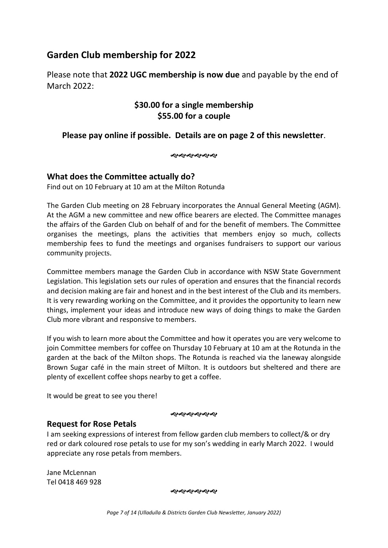# **Garden Club membership for 2022**

Please note that **2022 UGC membership is now due** and payable by the end of March 2022:

# **\$30.00 for a single membership \$55.00 for a couple**

# **Please pay online if possible. Details are on page 2 of this newsletter**.

**�������** 

# **What does the Committee actually do?**

Find out on 10 February at 10 am at the Milton Rotunda

The Garden Club meeting on 28 February incorporates the Annual General Meeting (AGM). At the AGM a new committee and new office bearers are elected. The Committee manages the affairs of the Garden Club on behalf of and for the benefit of members. The Committee organises the meetings, plans the activities that members enjoy so much, collects membership fees to fund the meetings and organises fundraisers to support our various community projects.

Committee members manage the Garden Club in accordance with NSW State Government Legislation. This legislation sets our rules of operation and ensures that the financial records and decision making are fair and honest and in the best interest of the Club and its members. It is very rewarding working on the Committee, and it provides the opportunity to learn new things, implement your ideas and introduce new ways of doing things to make the Garden Club more vibrant and responsive to members.

If you wish to learn more about the Committee and how it operates you are very welcome to join Committee members for coffee on Thursday 10 February at 10 am at the Rotunda in the garden at the back of the Milton shops. The Rotunda is reached via the laneway alongside Brown Sugar café in the main street of Milton. It is outdoors but sheltered and there are plenty of excellent coffee shops nearby to get a coffee.

It would be great to see you there!

ৰ্থ্যৰ ৰাজ্য প্ৰাৰ্থ

#### **Request for Rose Petals**

I am seeking expressions of interest from fellow garden club members to collect/& or dry red or dark coloured rose petals to use for my son's wedding in early March 2022. I would appreciate any rose petals from members.

Jane McLennan Tel 0418 469 928

**�������**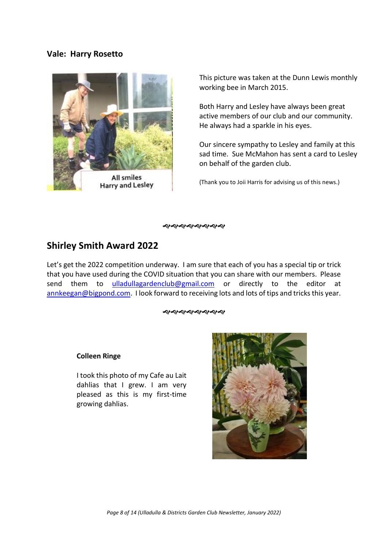#### **Vale: Harry Rosetto**



This picture was taken at the Dunn Lewis monthly working bee in March 2015.

Both Harry and Lesley have always been great active members of our club and our community. He always had a sparkle in his eyes.

Our sincere sympathy to Lesley and family at this sad time. Sue McMahon has sent a card to Lesley on behalf of the garden club.

(Thank you to Joii Harris for advising us of this news.)

やややややややや

# **Shirley Smith Award 2022**

Let's get the 2022 competition underway. I am sure that each of you has a special tip or trick that you have used during the COVID situation that you can share with our members. Please send them to [ulladullagardenclub@gmail.com](mailto:ulladullagardenclub@gmail.com) or directly to the editor at [annkeegan@bigpond.com.](mailto:annkeegan@bigpond.com) I look forward to receiving lots and lots of tips and tricks this year.

#### *ର୍ଷ୍ଣ ସ୍ପର୍ୟ ସ୍ପତ୍ତି ସ*

#### **Colleen Ringe**

I took this photo of my Cafe au Lait dahlias that I grew. I am very pleased as this is my first-time growing dahlias.

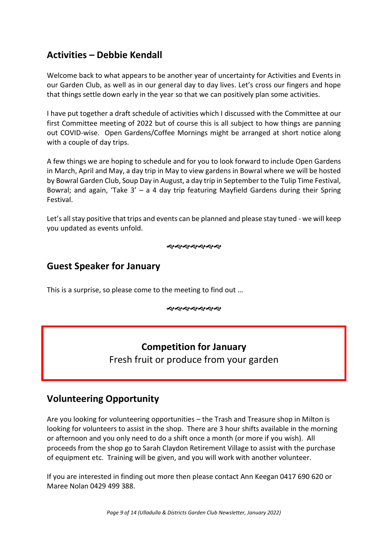# **Activities – Debbie Kendall**

Welcome back to what appears to be another year of uncertainty for Activities and Events in our Garden Club, as well as in our general day to day lives. Let's cross our fingers and hope that things settle down early in the year so that we can positively plan some activities.

I have put together a draft schedule of activities which I discussed with the Committee at our first Committee meeting of 2022 but of course this is all subject to how things are panning out COVID-wise. Open Gardens/Coffee Mornings might be arranged at short notice along with a couple of day trips.

A few things we are hoping to schedule and for you to look forward to include Open Gardens in March, April and May, a day trip in May to view gardens in Bowral where we will be hosted by Bowral Garden Club, Soup Day in August, a day trip in September to the Tulip Time Festival, Bowral; and again, 'Take  $3'$  – a 4 day trip featuring Mayfield Gardens during their Spring Festival.

Let's all stay positive that trips and events can be planned and please stay tuned - we will keep you updated as events unfold.

ややややややや

# **Guest Speaker for January**

This is a surprise, so please come to the meeting to find out …

**���������** 

# **Competition for January**

Fresh fruit or produce from your garden

# **Volunteering Opportunity**

Are you looking for volunteering opportunities – the Trash and Treasure shop in Milton is looking for volunteers to assist in the shop. There are 3 hour shifts available in the morning or afternoon and you only need to do a shift once a month (or more if you wish). All proceeds from the shop go to Sarah Claydon Retirement Village to assist with the purchase of equipment etc. Training will be given, and you will work with another volunteer.

If you are interested in finding out more then please contact Ann Keegan 0417 690 620 or Maree Nolan 0429 499 388.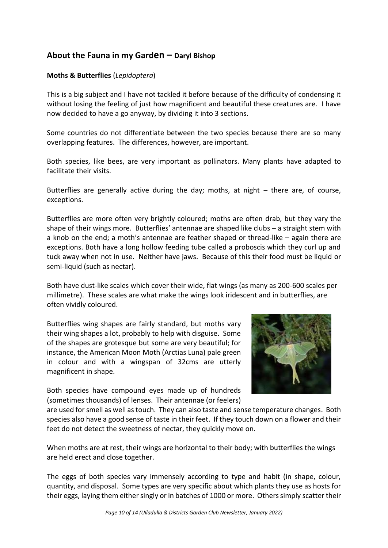# **About the Fauna in my Garden – Daryl Bishop**

#### **Moths & Butterflies** (*Lepidoptera*)

This is a big subject and I have not tackled it before because of the difficulty of condensing it without losing the feeling of just how magnificent and beautiful these creatures are. I have now decided to have a go anyway, by dividing it into 3 sections.

Some countries do not differentiate between the two species because there are so many overlapping features. The differences, however, are important.

Both species, like bees, are very important as pollinators. Many plants have adapted to facilitate their visits.

Butterflies are generally active during the day; moths, at night – there are, of course, exceptions.

Butterflies are more often very brightly coloured; moths are often drab, but they vary the shape of their wings more. Butterflies' antennae are shaped like clubs – a straight stem with a knob on the end; a moth's antennae are feather shaped or thread-like – again there are exceptions. Both have a long hollow feeding tube called a proboscis which they curl up and tuck away when not in use. Neither have jaws. Because of this their food must be liquid or semi-liquid (such as nectar).

Both have dust-like scales which cover their wide, flat wings (as many as 200-600 scales per millimetre). These scales are what make the wings look iridescent and in butterflies, are often vividly coloured.

Butterflies wing shapes are fairly standard, but moths vary their wing shapes a lot, probably to help with disguise. Some of the shapes are grotesque but some are very beautiful; for instance, the American Moon Moth (Arctias Luna) pale green in colour and with a wingspan of 32cms are utterly magnificent in shape.

Both species have compound eyes made up of hundreds (sometimes thousands) of lenses. Their antennae (or feelers)



are used for smell as well as touch. They can also taste and sense temperature changes. Both species also have a good sense of taste in their feet. If they touch down on a flower and their feet do not detect the sweetness of nectar, they quickly move on.

When moths are at rest, their wings are horizontal to their body; with butterflies the wings are held erect and close together.

The eggs of both species vary immensely according to type and habit (in shape, colour, quantity, and disposal. Some types are very specific about which plants they use as hosts for their eggs, laying them either singly or in batches of 1000 or more. Others simply scatter their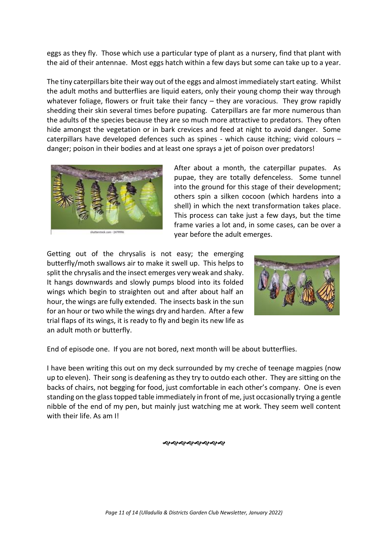eggs as they fly. Those which use a particular type of plant as a nursery, find that plant with the aid of their antennae. Most eggs hatch within a few days but some can take up to a year.

The tiny caterpillars bite their way out of the eggs and almost immediately start eating. Whilst the adult moths and butterflies are liquid eaters, only their young chomp their way through whatever foliage, flowers or fruit take their fancy – they are voracious. They grow rapidly shedding their skin several times before pupating. Caterpillars are far more numerous than the adults of the species because they are so much more attractive to predators. They often hide amongst the vegetation or in bark crevices and feed at night to avoid danger. Some caterpillars have developed defences such as spines - which cause itching; vivid colours – danger; poison in their bodies and at least one sprays a jet of poison over predators!



After about a month, the caterpillar pupates. As pupae, they are totally defenceless. Some tunnel into the ground for this stage of their development; others spin a silken cocoon (which hardens into a shell) in which the next transformation takes place. This process can take just a few days, but the time frame varies a lot and, in some cases, can be over a year before the adult emerges.

Getting out of the chrysalis is not easy; the emerging butterfly/moth swallows air to make it swell up. This helps to split the chrysalis and the insect emerges very weak and shaky. It hangs downwards and slowly pumps blood into its folded wings which begin to straighten out and after about half an hour, the wings are fully extended. The insects bask in the sun for an hour or two while the wings dry and harden. After a few trial flaps of its wings, it is ready to fly and begin its new life as an adult moth or butterfly.



End of episode one. If you are not bored, next month will be about butterflies.

I have been writing this out on my deck surrounded by my creche of teenage magpies (now up to eleven). Their song is deafening as they try to outdo each other. They are sitting on the backs of chairs, not begging for food, just comfortable in each other's company. One is even standing on the glass topped table immediately in front of me, just occasionally trying a gentle nibble of the end of my pen, but mainly just watching me at work. They seem well content with their life. As am I!

) સ્વર્ચ સ્વર્ચ સ્વર્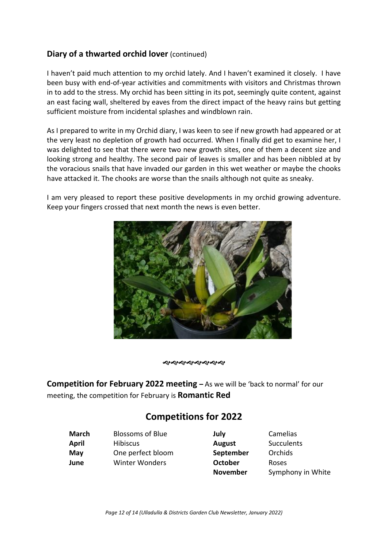# **Diary of a thwarted orchid lover** (continued)

I haven't paid much attention to my orchid lately. And I haven't examined it closely. I have been busy with end-of-year activities and commitments with visitors and Christmas thrown in to add to the stress. My orchid has been sitting in its pot, seemingly quite content, against an east facing wall, sheltered by eaves from the direct impact of the heavy rains but getting sufficient moisture from incidental splashes and windblown rain.

As I prepared to write in my Orchid diary, I was keen to see if new growth had appeared or at the very least no depletion of growth had occurred. When I finally did get to examine her, I was delighted to see that there were two new growth sites, one of them a decent size and looking strong and healthy. The second pair of leaves is smaller and has been nibbled at by the voracious snails that have invaded our garden in this wet weather or maybe the chooks have attacked it. The chooks are worse than the snails although not quite as sneaky.

I am very pleased to report these positive developments in my orchid growing adventure. Keep your fingers crossed that next month the news is even better.



**����������** 

**Competition for February 2022 meeting –** As we will be 'back to normal' for our meeting, the competition for February is **Romantic Red**

# **Competitions for 2022**

| <b>Blossoms of Blue</b> | July           | Camelias     |
|-------------------------|----------------|--------------|
| <b>Hibiscus</b>         | August         | Succulen     |
| One perfect bloom       | September      | Orchids      |
| <b>Winter Wonders</b>   | <b>October</b> | <b>Roses</b> |
|                         |                |              |

**August** Succulents **September** Orchids

**November** Symphony in White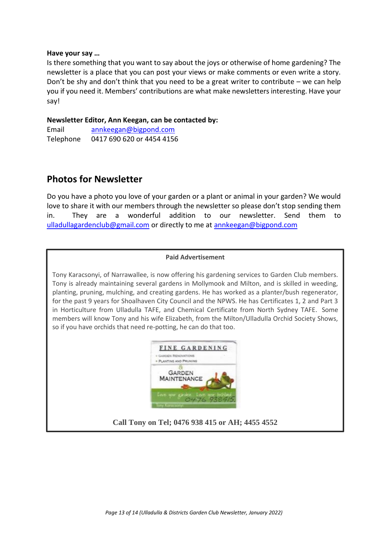#### **Have your say …**

Is there something that you want to say about the joys or otherwise of home gardening? The newsletter is a place that you can post your views or make comments or even write a story. Don't be shy and don't think that you need to be a great writer to contribute – we can help you if you need it. Members' contributions are what make newsletters interesting. Have your say!

#### **Newsletter Editor, Ann Keegan, can be contacted by:**

Email [annkeegan@bigpond.com](mailto:annkeegan@bigpond.com) Telephone 0417 690 620 or 4454 4156

# **Photos for Newsletter**

Do you have a photo you love of your garden or a plant or animal in your garden? We would love to share it with our members through the newsletter so please don't stop sending them in. They are a wonderful addition to our newsletter. Send them to [ulladullagardenclub@gmail.com](mailto:ulladullagardenclub@gmail.com) or directly to me at [annkeegan@bigpond.com](mailto:annkeegan@bigpond.com)

#### **Paid Advertisement**

Tony Karacsonyi, of Narrawallee, is now offering his gardening services to Garden Club members. Tony is already maintaining several gardens in Mollymook and Milton, and is skilled in weeding, planting, pruning, mulching, and creating gardens. He has worked as a planter/bush regenerator, for the past 9 years for Shoalhaven City Council and the NPWS. He has Certificates 1, 2 and Part 3 in Horticulture from Ulladulla TAFE, and Chemical Certificate from North Sydney TAFE. Some members will know Tony and his wife Elizabeth, from the Milton/Ulladulla Orchid Society Shows, so if you have orchids that need re-potting, he can do that too.



# **Call Tony on Tel; 0476 938 415 or AH; 4455 4552**